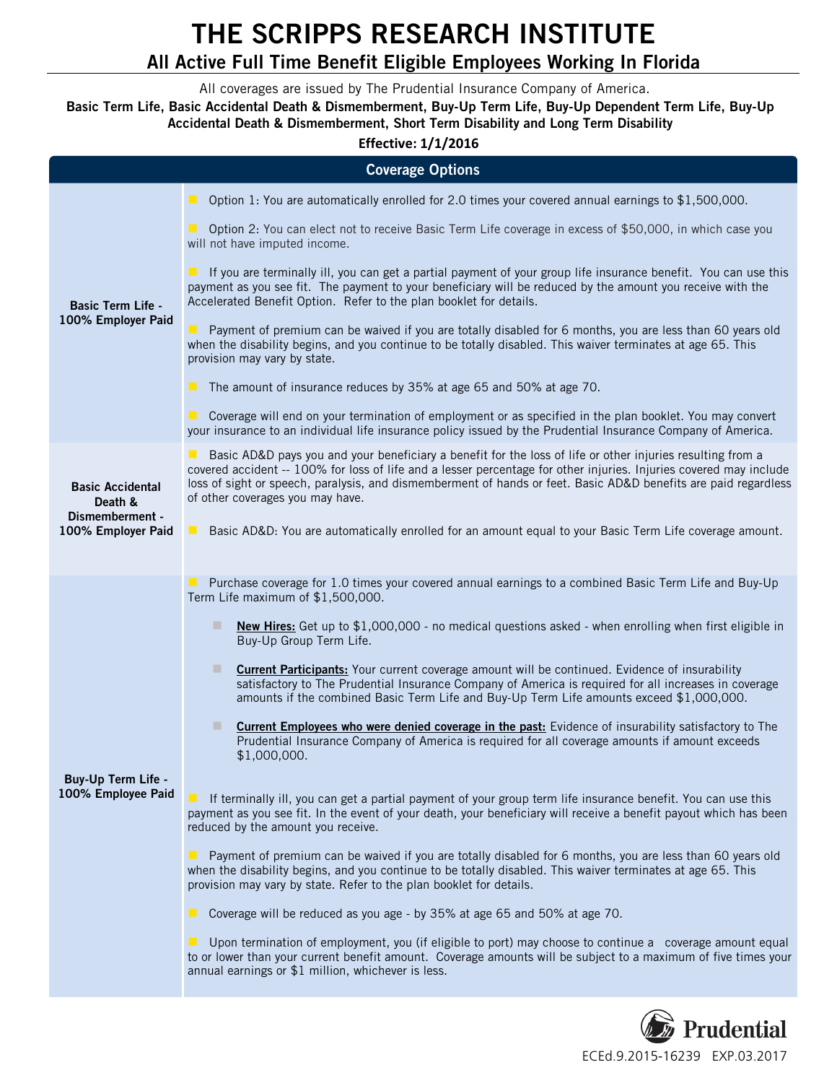## **THE SCRIPPS RESEARCH INSTITUTE All Active Full Time Benefit Eligible Employees Working In Florida**

All coverages are issued by The Prudential Insurance Company of America.

**Basic Term Life, Basic Accidental Death & Dismemberment, Buy-Up Term Life, Buy-Up Dependent Term Life, Buy-Up Accidental Death & Dismemberment, Short Term Disability and Long Term Disability**

## **Effective: 1/1/2016**

| <b>Coverage Options</b>                                                     |                                                                                                                                                                                                                                                                                                                                                                                         |  |
|-----------------------------------------------------------------------------|-----------------------------------------------------------------------------------------------------------------------------------------------------------------------------------------------------------------------------------------------------------------------------------------------------------------------------------------------------------------------------------------|--|
|                                                                             |                                                                                                                                                                                                                                                                                                                                                                                         |  |
| <b>Basic Term Life -</b><br>100% Employer Paid                              | <b>D</b> Option 1: You are automatically enrolled for 2.0 times your covered annual earnings to $$1,500,000$ .                                                                                                                                                                                                                                                                          |  |
|                                                                             | Option 2: You can elect not to receive Basic Term Life coverage in excess of \$50,000, in which case you<br>will not have imputed income.                                                                                                                                                                                                                                               |  |
|                                                                             | If you are terminally ill, you can get a partial payment of your group life insurance benefit. You can use this<br>payment as you see fit. The payment to your beneficiary will be reduced by the amount you receive with the<br>Accelerated Benefit Option. Refer to the plan booklet for details.                                                                                     |  |
|                                                                             | Payment of premium can be waived if you are totally disabled for 6 months, you are less than 60 years old<br>when the disability begins, and you continue to be totally disabled. This waiver terminates at age 65. This<br>provision may vary by state.                                                                                                                                |  |
|                                                                             | $\blacksquare$ The amount of insurance reduces by 35% at age 65 and 50% at age 70.                                                                                                                                                                                                                                                                                                      |  |
|                                                                             | ■ Coverage will end on your termination of employment or as specified in the plan booklet. You may convert<br>your insurance to an individual life insurance policy issued by the Prudential Insurance Company of America.                                                                                                                                                              |  |
| <b>Basic Accidental</b><br>Death &<br>Dismemberment -<br>100% Employer Paid | Basic AD&D pays you and your beneficiary a benefit for the loss of life or other injuries resulting from a<br>covered accident -- 100% for loss of life and a lesser percentage for other injuries. Injuries covered may include<br>loss of sight or speech, paralysis, and dismemberment of hands or feet. Basic AD&D benefits are paid regardless<br>of other coverages you may have. |  |
|                                                                             | Basic AD&D: You are automatically enrolled for an amount equal to your Basic Term Life coverage amount.<br>$\blacksquare$                                                                                                                                                                                                                                                               |  |
| Buy-Up Term Life -<br>100% Employee Paid                                    | Purchase coverage for 1.0 times your covered annual earnings to a combined Basic Term Life and Buy-Up<br>Term Life maximum of \$1,500,000.                                                                                                                                                                                                                                              |  |
|                                                                             | New Hires: Get up to \$1,000,000 - no medical questions asked - when enrolling when first eligible in<br>ш<br>Buy-Up Group Term Life.                                                                                                                                                                                                                                                   |  |
|                                                                             | <b>Current Participants:</b> Your current coverage amount will be continued. Evidence of insurability<br>satisfactory to The Prudential Insurance Company of America is required for all increases in coverage<br>amounts if the combined Basic Term Life and Buy-Up Term Life amounts exceed \$1,000,000.                                                                              |  |
|                                                                             | <b>Current Employees who were denied coverage in the past:</b> Evidence of insurability satisfactory to The<br>Prudential Insurance Company of America is required for all coverage amounts if amount exceeds<br>\$1,000,000.                                                                                                                                                           |  |
|                                                                             | If terminally ill, you can get a partial payment of your group term life insurance benefit. You can use this<br>payment as you see fit. In the event of your death, your beneficiary will receive a benefit payout which has been<br>reduced by the amount you receive.                                                                                                                 |  |
|                                                                             | ■ Payment of premium can be waived if you are totally disabled for 6 months, you are less than 60 years old<br>when the disability begins, and you continue to be totally disabled. This waiver terminates at age 65. This<br>provision may vary by state. Refer to the plan booklet for details.                                                                                       |  |
|                                                                             | Coverage will be reduced as you age - by 35% at age 65 and 50% at age 70.                                                                                                                                                                                                                                                                                                               |  |
|                                                                             | Upon termination of employment, you (if eligible to port) may choose to continue a coverage amount equal<br>to or lower than your current benefit amount. Coverage amounts will be subject to a maximum of five times your<br>annual earnings or \$1 million, whichever is less.                                                                                                        |  |

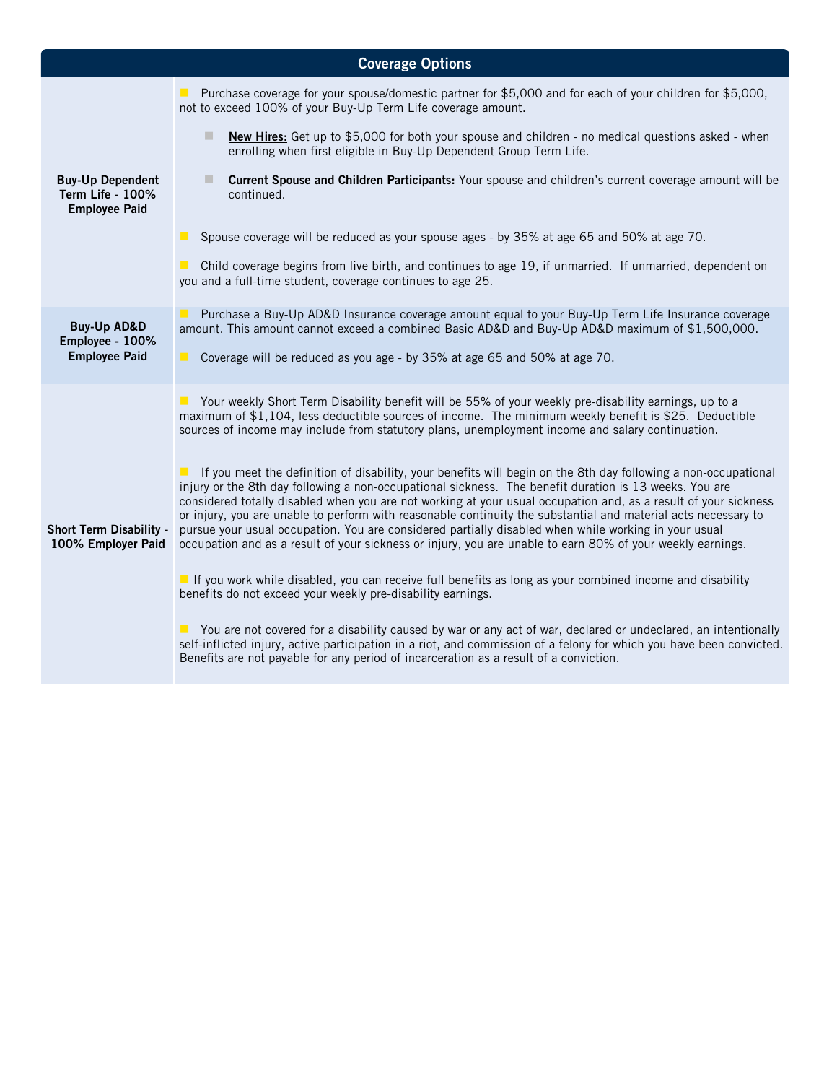| <b>Coverage Options</b>                                             |                                                                                                                                                                                                                                                                                                                                                                                                                                                                                                                                                                                                                                                                                     |  |
|---------------------------------------------------------------------|-------------------------------------------------------------------------------------------------------------------------------------------------------------------------------------------------------------------------------------------------------------------------------------------------------------------------------------------------------------------------------------------------------------------------------------------------------------------------------------------------------------------------------------------------------------------------------------------------------------------------------------------------------------------------------------|--|
|                                                                     | ■ Purchase coverage for your spouse/domestic partner for \$5,000 and for each of your children for \$5,000,<br>not to exceed 100% of your Buy-Up Term Life coverage amount.                                                                                                                                                                                                                                                                                                                                                                                                                                                                                                         |  |
|                                                                     | п<br>New Hires: Get up to \$5,000 for both your spouse and children - no medical questions asked - when<br>enrolling when first eligible in Buy-Up Dependent Group Term Life.                                                                                                                                                                                                                                                                                                                                                                                                                                                                                                       |  |
| <b>Buy-Up Dependent</b><br>Term Life - 100%<br><b>Employee Paid</b> | <b>Current Spouse and Children Participants:</b> Your spouse and children's current coverage amount will be<br>continued.                                                                                                                                                                                                                                                                                                                                                                                                                                                                                                                                                           |  |
|                                                                     | ■ Spouse coverage will be reduced as your spouse ages - by 35% at age 65 and 50% at age 70.                                                                                                                                                                                                                                                                                                                                                                                                                                                                                                                                                                                         |  |
|                                                                     | • Child coverage begins from live birth, and continues to age 19, if unmarried. If unmarried, dependent on<br>you and a full-time student, coverage continues to age 25.                                                                                                                                                                                                                                                                                                                                                                                                                                                                                                            |  |
| <b>Buy-Up AD&amp;D</b>                                              | Purchase a Buy-Up AD&D Insurance coverage amount equal to your Buy-Up Term Life Insurance coverage<br>amount. This amount cannot exceed a combined Basic AD&D and Buy-Up AD&D maximum of \$1,500,000.                                                                                                                                                                                                                                                                                                                                                                                                                                                                               |  |
| Employee - 100%<br><b>Employee Paid</b>                             | $\blacksquare$<br>Coverage will be reduced as you age - by 35% at age 65 and 50% at age 70.                                                                                                                                                                                                                                                                                                                                                                                                                                                                                                                                                                                         |  |
|                                                                     | ■ Your weekly Short Term Disability benefit will be 55% of your weekly pre-disability earnings, up to a<br>maximum of \$1,104, less deductible sources of income. The minimum weekly benefit is \$25. Deductible<br>sources of income may include from statutory plans, unemployment income and salary continuation.                                                                                                                                                                                                                                                                                                                                                                |  |
| Short Term Disability -<br>100% Employer Paid                       | If you meet the definition of disability, your benefits will begin on the 8th day following a non-occupational<br>injury or the 8th day following a non-occupational sickness. The benefit duration is 13 weeks. You are<br>considered totally disabled when you are not working at your usual occupation and, as a result of your sickness<br>or injury, you are unable to perform with reasonable continuity the substantial and material acts necessary to<br>pursue your usual occupation. You are considered partially disabled when while working in your usual<br>occupation and as a result of your sickness or injury, you are unable to earn 80% of your weekly earnings. |  |
|                                                                     | If you work while disabled, you can receive full benefits as long as your combined income and disability<br>benefits do not exceed your weekly pre-disability earnings.                                                                                                                                                                                                                                                                                                                                                                                                                                                                                                             |  |
|                                                                     | ■ You are not covered for a disability caused by war or any act of war, declared or undeclared, an intentionally<br>self-inflicted injury, active participation in a riot, and commission of a felony for which you have been convicted.<br>Benefits are not payable for any period of incarceration as a result of a conviction.                                                                                                                                                                                                                                                                                                                                                   |  |